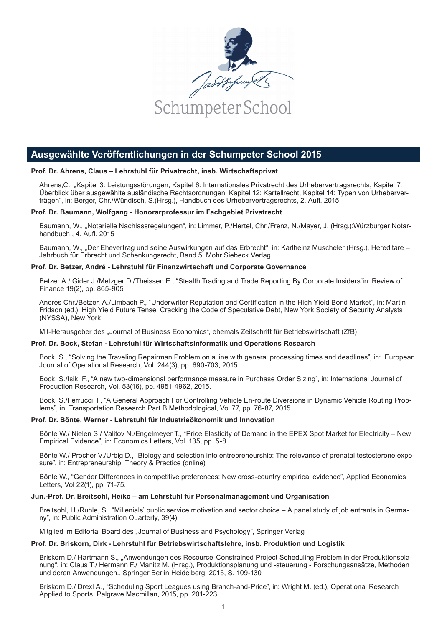

# **Ausgewählte Veröffentlichungen in der Schumpeter School 2015**

# **Prof. Dr. Ahrens, Claus – Lehrstuhl für Privatrecht, insb. Wirtschaftsprivat**

Ahrens, C., "Kapitel 3: Leistungsstörungen, Kapitel 6: Internationales Privatrecht des Urhebervertragsrechts, Kapitel 7: Überblick über ausgewählte ausländische Rechtsordnungen, Kapitel 12: Kartellrecht, Kapitel 14: Typen von Urheberverträgen", in: Berger, Chr./Wündisch, S.(Hrsg.), Handbuch des Urhebervertragsrechts, 2. Aufl. 2015

# **Prof. Dr. Baumann, Wolfgang - Honorarprofessur im Fachgebiet Privatrecht**

Baumann, W., "Notarielle Nachlassregelungen", in: Limmer, P./Hertel, Chr./Frenz, N./Mayer, J. (Hrsg.):Würzburger Notarhandbuch , 4. Aufl. 2015

Baumann, W., "Der Ehevertrag und seine Auswirkungen auf das Erbrecht". in: Karlheinz Muscheler (Hrsg.), Hereditare – Jahrbuch für Erbrecht und Schenkungsrecht, Band 5, Mohr Siebeck Verlag

# **Prof. Dr. Betzer, André - Lehrstuhl für Finanzwirtschaft und Corporate Governance**

Betzer A./ Gider J./Metzger D./Theissen E., "Stealth Trading and Trade Reporting By Corporate Insiders"in: Review of Finance 19(2), pp. 865-905

Andres Chr./Betzer, A./Limbach P., "Underwriter Reputation and Certification in the High Yield Bond Market", in: Martin Fridson (ed.): High Yield Future Tense: Cracking the Code of Speculative Debt, New York Society of Security Analysts (NYSSA), New York

Mit-Herausgeber des "Journal of Business Economics", ehemals Zeitschrift für Betriebswirtschaft (ZfB)

# **Prof. Dr. Bock, Stefan - Lehrstuhl für Wirtschaftsinformatik und Operations Research**

Bock, S., "Solving the Traveling Repairman Problem on a line with general processing times and deadlines", in: European Journal of Operational Research, Vol. 244(3), pp. 690-703, 2015.

Bock, S./Isik, F., "A new two-dimensional performance measure in Purchase Order Sizing", in: International Journal of Production Research, Vol. 53(16), pp. 4951-4962, 2015.

Bock, S./Ferrucci, F, "A General Approach For Controlling Vehicle En-route Diversions in Dynamic Vehicle Routing Problems", in: Transportation Research Part B Methodological, Vol.77, pp. 76-87, 2015.

# **Prof. Dr. Bönte, Werner - Lehrstuhl für Industrieökonomik und Innovation**

Bönte W./ Nielen S./ Valitov N./Engelmeyer T., "Price Elasticity of Demand in the EPEX Spot Market for Electricity – New Empirical Evidence", in: Economics Letters, Vol. 135, pp. 5-8.

Bönte W./ Procher V./Urbig D., "Biology and selection into entrepreneurship: The relevance of prenatal testosterone exposure", in: Entrepreneurship, Theory & Practice (online)

Bönte W., "Gender Differences in competitive preferences: New cross-country empirical evidence", Applied Economics Letters, Vol 22(1), pp. 71-75.

# **Jun.-Prof. Dr. Breitsohl, Heiko – am Lehrstuhl für Personalmanagement und Organisation**

Breitsohl, H./Ruhle, S., "Millenials' public service motivation and sector choice – A panel study of job entrants in Germany", in: Public Administration Quarterly, 39(4).

Mitglied im Editorial Board des "Journal of Business and Psychology", Springer Verlag

# **Prof. Dr. Briskorn, Dirk - Lehrstuhl für Betriebswirtschaftslehre, insb. Produktion und Logistik**

Briskorn D./ Hartmann S., "Anwendungen des Resource-Constrained Project Scheduling Problem in der Produktionsplanung", in: Claus T./ Hermann F./ Manitz M. (Hrsg.), Produktionsplanung und -steuerung - Forschungsansätze, Methoden und deren Anwendungen., Springer Berlin Heidelberg, 2015, S. 109-130

Briskorn D./ Drexl A., "Scheduling Sport Leagues using Branch-and-Price", in: Wright M. (ed.), Operational Research Applied to Sports. Palgrave Macmillan, 2015, pp. 201-223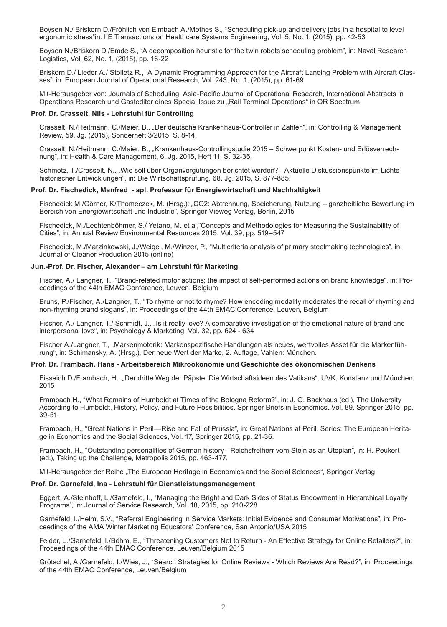Boysen N./ Briskorn D./Fröhlich von Elmbach A./Mothes S., "Scheduling pick-up and delivery jobs in a hospital to level ergonomic stress"in: IIE Transactions on Healthcare Systems Engineering, Vol. 5, No. 1, (2015), pp. 42-53

Boysen N./Briskorn D./Emde S., "A decomposition heuristic for the twin robots scheduling problem", in: Naval Research Logistics, Vol. 62, No. 1, (2015), pp. 16-22

Briskorn D./ Lieder A./ Stolletz R., "A Dynamic Programming Approach for the Aircraft Landing Problem with Aircraft Classes", in: European Journal of Operational Research, Vol. 243, No. 1, (2015), pp. 61-69

Mit-Herausgeber von: Journals of Scheduling, Asia-Pacific Journal of Operational Research, International Abstracts in Operations Research und Gasteditor eines Special Issue zu "Rail Terminal Operations" in OR Spectrum

#### **Prof. Dr. Crasselt, Nils - Lehrstuhl für Controlling**

Crasselt, N./Heitmann, C./Maier, B., "Der deutsche Krankenhaus-Controller in Zahlen", in: Controlling & Management Review, 59. Jg. (2015), Sonderheft 3/2015, S. 8-14.

Crasselt, N./Heitmann, C./Maier, B., "Krankenhaus-Controllingstudie 2015 – Schwerpunkt Kosten- und Erlösverrechnung", in: Health & Care Management, 6. Jg. 2015, Heft 11, S. 32-35.

Schmotz, T./Crasselt, N., "Wie soll über Organvergütungen berichtet werden? - Aktuelle Diskussionspunkte im Lichte historischer Entwicklungen", in: Die Wirtschaftsprüfung, 68. Jg. 2015, S. 877-885.

# **Prof. Dr. Fischedick, Manfred - apl. Professur für Energiewirtschaft und Nachhaltigkeit**

Fischedick M./Görner, K/Thomeczek, M. (Hrsg.): "CO2: Abtrennung, Speicherung, Nutzung – ganzheitliche Bewertung im Bereich von Energiewirtschaft und Industrie", Springer Vieweg Verlag, Berlin, 2015

Fischedick, M./Lechtenböhmer, S./ Yetano, M. et al,"Concepts and Methodologies for Measuring the Sustainability of Cities", in: Annual Review Environmental Resources 2015. Vol. 39, pp. 519–547

Fischedick, M./Marzinkowski, J./Weigel, M./Winzer, P., "Multicriteria analysis of primary steelmaking technologies", in: Journal of Cleaner Production 2015 (online)

## **Jun.-Prof. Dr. Fischer, Alexander – am Lehrstuhl für Marketing**

Fischer, A./ Langner, T., "Brand-related motor actions: the impact of self-performed actions on brand knowledge", in: Proceedings of the 44th EMAC Conference, Leuven, Belgium

Bruns, P./Fischer, A./Langner, T., "To rhyme or not to rhyme? How encoding modality moderates the recall of rhyming and non-rhyming brand slogans", in: Proceedings of the 44th EMAC Conference, Leuven, Belgium

Fischer, A./ Langner, T./ Schmidt, J., "Is it really love? A comparative investigation of the emotional nature of brand and interpersonal love", in: Psychology & Marketing, Vol. 32, pp. 624 - 634

Fischer A./Langner, T., "Markenmotorik: Markenspezifische Handlungen als neues, wertvolles Asset für die Markenführung", in: Schimansky, A. (Hrsg.), Der neue Wert der Marke, 2. Auflage, Vahlen: München.

# **Prof. Dr. Frambach, Hans - Arbeitsbereich Mikroökonomie und Geschichte des ökonomischen Denkens**

Eisseich D./Frambach, H., "Der dritte Weg der Päpste. Die Wirtschaftsideen des Vatikans", UVK, Konstanz und München 2015

Frambach H., "What Remains of Humboldt at Times of the Bologna Reform?", in: J. G. Backhaus (ed.), The University According to Humboldt, History, Policy, and Future Possibilities, Springer Briefs in Economics, Vol. 89, Springer 2015, pp. 39-51.

Frambach, H., "Great Nations in Peril—Rise and Fall of Prussia", in: Great Nations at Peril, Series: The European Heritage in Economics and the Social Sciences, Vol. 17, Springer 2015, pp. 21-36.

Frambach, H., "Outstanding personalities of German history - Reichsfreiherr vom Stein as an Utopian", in: H. Peukert (ed.), Taking up the Challenge, Metropolis 2015, pp. 463-477.

Mit-Herausgeber der Reihe "The European Heritage in Economics and the Social Sciences", Springer Verlag

#### **Prof. Dr. Garnefeld, Ina - Lehrstuhl für Dienstleistungsmanagement**

Eggert, A./Steinhoff, L./Garnefeld, I., "Managing the Bright and Dark Sides of Status Endowment in Hierarchical Loyalty Programs", in: Journal of Service Research, Vol. 18, 2015, pp. 210-228

Garnefeld, I./Helm, S.V., "Referral Engineering in Service Markets: Initial Evidence and Consumer Motivations", in: Proceedings of the AMA Winter Marketing Educators' Conference, San Antonio/USA 2015

Feider, L./Garnefeld, I./Böhm, E., "Threatening Customers Not to Return - An Effective Strategy for Online Retailers?", in: Proceedings of the 44th EMAC Conference, Leuven/Belgium 2015

Grötschel, A./Garnefeld, I./Wies, J., "Search Strategies for Online Reviews - Which Reviews Are Read?", in: Proceedings of the 44th EMAC Conference, Leuven/Belgium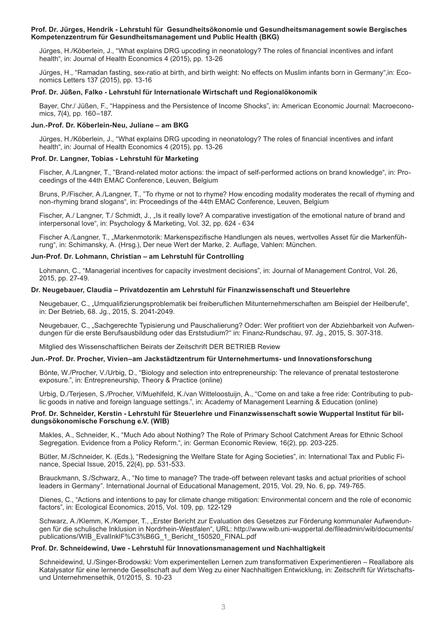## **Prof. Dr. Jürges, Hendrik - Lehrstuhl für Gesundheitsökonomie und Gesundheitsmanagement sowie Bergisches Kompetenzzentrum für Gesundheitsmanagement und Public Health (BKG)**

Jürges, H./Köberlein, J., "What explains DRG upcoding in neonatology? The roles of financial incentives and infant health", in: Journal of Health Economics 4 (2015), pp. 13-26

Jürges, H., "Ramadan fasting, sex-ratio at birth, and birth weight: No effects on Muslim infants born in Germany",in: Economics Letters 137 (2015), pp. 13-16

# **Prof. Dr. Jüßen, Falko - Lehrstuhl für Internationale Wirtschaft und Regionalökonomik**

Bayer, Chr./ Jüßen, F., "Happiness and the Persistence of Income Shocks", in: American Economic Journal: Macroeconomics, 7(4), pp. 160–187.

## **Jun.-Prof. Dr. Köberlein-Neu, Juliane – am BKG**

Jürges, H./Köberlein, J., "What explains DRG upcoding in neonatology? The roles of financial incentives and infant health", in: Journal of Health Economics 4 (2015), pp. 13-26

# **Prof. Dr. Langner, Tobias - Lehrstuhl für Marketing**

Fischer, A./Langner, T., "Brand-related motor actions: the impact of self-performed actions on brand knowledge", in: Proceedings of the 44th EMAC Conference, Leuven, Belgium

Bruns, P./Fischer, A./Langner, T., "To rhyme or not to rhyme? How encoding modality moderates the recall of rhyming and non-rhyming brand slogans", in: Proceedings of the 44th EMAC Conference, Leuven, Belgium

Fischer, A./ Langner, T./ Schmidt, J., "Is it really love? A comparative investigation of the emotional nature of brand and interpersonal love", in: Psychology & Marketing, Vol. 32, pp. 624 - 634

Fischer A./Langner, T., "Markenmotorik: Markenspezifische Handlungen als neues, wertvolles Asset für die Markenführung", in: Schimansky, A. (Hrsg.), Der neue Wert der Marke, 2. Auflage, Vahlen: München.

# **Jun-Prof. Dr. Lohmann, Christian – am Lehrstuhl für Controlling**

Lohmann, C., "Managerial incentives for capacity investment decisions", in: Journal of Management Control, Vol. 26, 2015, pp. 27-49.

## **Dr. Neugebauer, Claudia – Privatdozentin am Lehrstuhl für Finanzwissenschaft und Steuerlehre**

Neugebauer, C., "Umqualifizierungsproblematik bei freiberuflichen Mitunternehmerschaften am Beispiel der Heilberufe", in: Der Betrieb, 68. Jg., 2015, S. 2041-2049.

Neugebauer, C., "Sachgerechte Typisierung und Pauschalierung? Oder: Wer profitiert von der Abziehbarkeit von Aufwendungen für die erste Berufsausbildung oder das Erststudium?" in: Finanz-Rundschau, 97. Jg., 2015, S. 307-318.

Mitglied des Wissenschaftlichen Beirats der Zeitschrift DER BETRIEB Review

#### **Jun.-Prof. Dr. Procher, Vivien–am Jackstädtzentrum für Unternehmertums- und Innovationsforschung**

Bönte, W./Procher, V./Urbig, D., "Biology and selection into entrepreneurship: The relevance of prenatal testosterone exposure.", in: Entrepreneurship, Theory & Practice (online)

Urbig, D./Terjesen, S./Procher, V/Muehlfeld, K./van Witteloostuijn, A., "Come on and take a free ride: Contributing to public goods in native and foreign language settings.", in: Academy of Management Learning & Education (online)

# **Prof. Dr. Schneider, Kerstin - Lehrstuhl für Steuerlehre und Finanzwissenschaft sowie Wuppertal Institut für bildungsökonomische Forschung e.V. (WIB)**

Makles, A., Schneider, K., "Much Ado about Nothing? The Role of Primary School Catchment Areas for Ethnic School Segregation. Evidence from a Policy Reform.", in: German Economic Review, 16(2), pp. 203-225.

Bütler, M./Schneider, K. (Eds.), "Redesigning the Welfare State for Aging Societies", in: International Tax and Public Finance, Special Issue, 2015, 22(4), pp. 531-533.

Brauckmann, S./Schwarz, A., "No time to manage? The trade-off between relevant tasks and actual priorities of school leaders in Germany". International Journal of Educational Management, 2015, Vol. 29, No. 6, pp. 749-765.

Dienes, C., "Actions and intentions to pay for climate change mitigation: Environmental concern and the role of economic factors", in: Ecological Economics, 2015, Vol. 109, pp. 122-129

Schwarz, A./Klemm, K./Kemper, T., "Erster Bericht zur Evaluation des Gesetzes zur Förderung kommunaler Aufwendungen für die schulische Inklusion in Nordrhein-Westfalen", URL: http://www.wib.uni-wuppertal.de/fileadmin/wib/documents/ publications/WIB\_EvalInklF%C3%B6G\_1\_Bericht\_150520\_FINAL.pdf

# **Prof. Dr. Schneidewind, Uwe - Lehrstuhl für Innovationsmanagement und Nachhaltigkeit**

Schneidewind, U./Singer-Brodowski: Vom experimentellen Lernen zum transformativen Experimentieren – Reallabore als Katalysator für eine lernende Gesellschaft auf dem Weg zu einer Nachhaltigen Entwicklung, in: Zeitschrift für Wirtschaftsund Unternehmensethik, 01/2015, S. 10-23